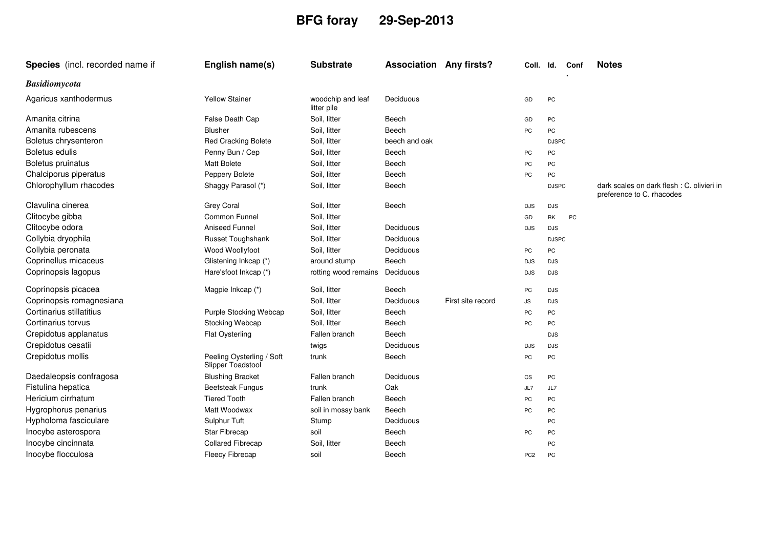## **BFG foray 29-Sep-2013**

| Species (incl. recorded name if | English name(s)                                | <b>Substrate</b>                 | <b>Association Any firsts?</b> |                   | Coll.           | Id.          | Conf | <b>Notes</b>                                                           |
|---------------------------------|------------------------------------------------|----------------------------------|--------------------------------|-------------------|-----------------|--------------|------|------------------------------------------------------------------------|
| <b>Basidiomycota</b>            |                                                |                                  |                                |                   |                 |              |      |                                                                        |
| Agaricus xanthodermus           | <b>Yellow Stainer</b>                          | woodchip and leaf<br>litter pile | Deciduous                      |                   | GD              | PC           |      |                                                                        |
| Amanita citrina                 | False Death Cap                                | Soil, litter                     | Beech                          |                   | GD              | PC           |      |                                                                        |
| Amanita rubescens               | Blusher                                        | Soil, litter                     | Beech                          |                   | PC              | PC           |      |                                                                        |
| Boletus chrysenteron            | <b>Red Cracking Bolete</b>                     | Soil, litter                     | beech and oak                  |                   |                 | <b>DJSPC</b> |      |                                                                        |
| Boletus edulis                  | Penny Bun / Cep                                | Soil, litter                     | Beech                          |                   | PC              | PC           |      |                                                                        |
| Boletus pruinatus               | <b>Matt Bolete</b>                             | Soil, litter                     | Beech                          |                   | PC              | PC           |      |                                                                        |
| Chalciporus piperatus           | Peppery Bolete                                 | Soil, litter                     | Beech                          |                   | PC              | PC           |      |                                                                        |
| Chlorophyllum rhacodes          | Shaggy Parasol (*)                             | Soil, litter                     | Beech                          |                   |                 | <b>DJSPC</b> |      | dark scales on dark flesh: C. olivieri in<br>preference to C. rhacodes |
| Clavulina cinerea               | Grey Coral                                     | Soil, litter                     | Beech                          |                   | <b>DJS</b>      | <b>DJS</b>   |      |                                                                        |
| Clitocybe gibba                 | Common Funnel                                  | Soil, litter                     |                                |                   | GD              | RK           | PC   |                                                                        |
| Clitocybe odora                 | <b>Aniseed Funnel</b>                          | Soil, litter                     | Deciduous                      |                   | <b>DJS</b>      | <b>DJS</b>   |      |                                                                        |
| Collybia dryophila              | <b>Russet Toughshank</b>                       | Soil, litter                     | Deciduous                      |                   |                 | <b>DJSPC</b> |      |                                                                        |
| Collybia peronata               | Wood Woollyfoot                                | Soil, litter                     | Deciduous                      |                   | PC              | PC           |      |                                                                        |
| Coprinellus micaceus            | Glistening Inkcap (*)                          | around stump                     | Beech                          |                   | <b>DJS</b>      | <b>DJS</b>   |      |                                                                        |
| Coprinopsis lagopus             | Hare'sfoot Inkcap (*)                          | rotting wood remains             | Deciduous                      |                   | <b>DJS</b>      | <b>DJS</b>   |      |                                                                        |
| Coprinopsis picacea             | Magpie Inkcap (*)                              | Soil. litter                     | Beech                          |                   | PC              | <b>DJS</b>   |      |                                                                        |
| Coprinopsis romagnesiana        |                                                | Soil, litter                     | Deciduous                      | First site record | JS              | <b>DJS</b>   |      |                                                                        |
| Cortinarius stillatitius        | Purple Stocking Webcap                         | Soil, litter                     | Beech                          |                   | PC              | PC           |      |                                                                        |
| Cortinarius torvus              | Stocking Webcap                                | Soil, litter                     | Beech                          |                   | PC              | PC           |      |                                                                        |
| Crepidotus applanatus           | <b>Flat Oysterling</b>                         | Fallen branch                    | Beech                          |                   |                 | <b>DJS</b>   |      |                                                                        |
| Crepidotus cesatii              |                                                | twigs                            | Deciduous                      |                   | <b>DJS</b>      | <b>DJS</b>   |      |                                                                        |
| Crepidotus mollis               | Peeling Oysterling / Soft<br>Slipper Toadstool | trunk                            | Beech                          |                   | PC              | PC           |      |                                                                        |
| Daedaleopsis confragosa         | <b>Blushing Bracket</b>                        | Fallen branch                    | Deciduous                      |                   | CS              | PC           |      |                                                                        |
| Fistulina hepatica              | <b>Beefsteak Fungus</b>                        | trunk                            | Oak                            |                   | JL7             | JL7          |      |                                                                        |
| Hericium cirrhatum              | <b>Tiered Tooth</b>                            | Fallen branch                    | Beech                          |                   | PC              | PC           |      |                                                                        |
| Hygrophorus penarius            | Matt Woodwax                                   | soil in mossy bank               | Beech                          |                   | PC              | PC           |      |                                                                        |
| Hypholoma fasciculare           | Sulphur Tuft                                   | Stump                            | Deciduous                      |                   |                 | PC           |      |                                                                        |
| Inocybe asterospora             | <b>Star Fibrecap</b>                           | soil                             | Beech                          |                   | PC              | PC           |      |                                                                        |
| Inocybe cincinnata              | <b>Collared Fibrecap</b>                       | Soil, litter                     | Beech                          |                   |                 | PC           |      |                                                                        |
| Inocybe flocculosa              | Fleecy Fibrecap                                | soil                             | Beech                          |                   | PC <sub>2</sub> | PC           |      |                                                                        |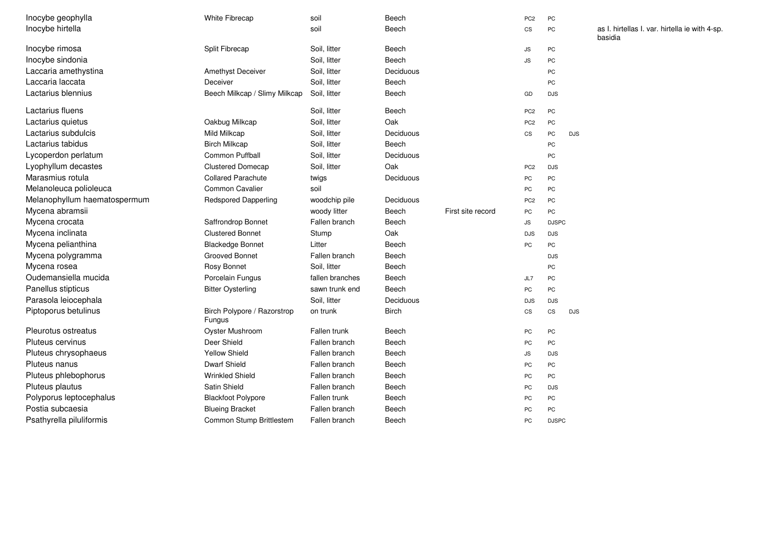| Inocybe geophylla            | White Fibrecap                        | soil            | Beech        |                   | PC <sub>2</sub> | <b>PC</b>    |            |                                                           |
|------------------------------|---------------------------------------|-----------------|--------------|-------------------|-----------------|--------------|------------|-----------------------------------------------------------|
| Inocybe hirtella             |                                       | soil            | Beech        |                   | CS              | PC           |            | as I. hirtellas I. var. hirtella ie with 4-sp.<br>basidia |
| Inocybe rimosa               | Split Fibrecap                        | Soil. litter    | Beech        |                   | JS              | PC           |            |                                                           |
| Inocybe sindonia             |                                       | Soil, litter    | Beech        |                   | JS              | PC           |            |                                                           |
| Laccaria amethystina         | Amethyst Deceiver                     | Soil, litter    | Deciduous    |                   |                 | PC           |            |                                                           |
| Laccaria laccata             | Deceiver                              | Soil, litter    | Beech        |                   |                 | PC           |            |                                                           |
| Lactarius blennius           | Beech Milkcap / Slimy Milkcap         | Soil, litter    | Beech        |                   | GD              | <b>DJS</b>   |            |                                                           |
| Lactarius fluens             |                                       | Soil, litter    | Beech        |                   | PC <sub>2</sub> | PC           |            |                                                           |
| Lactarius quietus            | Oakbug Milkcap                        | Soil, litter    | Oak          |                   | PC <sub>2</sub> | PC           |            |                                                           |
| Lactarius subdulcis          | Mild Milkcap                          | Soil, litter    | Deciduous    |                   | CS              | PC           | <b>DJS</b> |                                                           |
| Lactarius tabidus            | <b>Birch Milkcap</b>                  | Soil, litter    | Beech        |                   |                 | PC           |            |                                                           |
| Lycoperdon perlatum          | <b>Common Puffball</b>                | Soil, litter    | Deciduous    |                   |                 | PC           |            |                                                           |
| Lyophyllum decastes          | <b>Clustered Domecap</b>              | Soil, litter    | Oak          |                   | PC <sub>2</sub> | <b>DJS</b>   |            |                                                           |
| Marasmius rotula             | <b>Collared Parachute</b>             | twigs           | Deciduous    |                   | PC              | PC           |            |                                                           |
| Melanoleuca polioleuca       | Common Cavalier                       | soil            |              |                   | PC              | PC           |            |                                                           |
| Melanophyllum haematospermum | <b>Redspored Dapperling</b>           | woodchip pile   | Deciduous    |                   | PC <sub>2</sub> | PC           |            |                                                           |
| Mycena abramsii              |                                       | woody litter    | Beech        | First site record | PC              | PC           |            |                                                           |
| Mycena crocata               | Saffrondrop Bonnet                    | Fallen branch   | Beech        |                   | JS              | <b>DJSPC</b> |            |                                                           |
| Mycena inclinata             | <b>Clustered Bonnet</b>               | Stump           | Oak          |                   | <b>DJS</b>      | <b>DJS</b>   |            |                                                           |
| Mycena pelianthina           | <b>Blackedge Bonnet</b>               | Litter          | Beech        |                   | PC              | <b>PC</b>    |            |                                                           |
| Mycena polygramma            | <b>Grooved Bonnet</b>                 | Fallen branch   | Beech        |                   |                 | <b>DJS</b>   |            |                                                           |
| Mycena rosea                 | Rosy Bonnet                           | Soil, litter    | Beech        |                   |                 | PC           |            |                                                           |
| Oudemansiella mucida         | Porcelain Fungus                      | fallen branches | Beech        |                   | JL7             | PC           |            |                                                           |
| Panellus stipticus           | <b>Bitter Oysterling</b>              | sawn trunk end  | Beech        |                   | PC              | PC           |            |                                                           |
| Parasola leiocephala         |                                       | Soil, litter    | Deciduous    |                   | <b>DJS</b>      | <b>DJS</b>   |            |                                                           |
| Piptoporus betulinus         | Birch Polypore / Razorstrop<br>Fungus | on trunk        | <b>Birch</b> |                   | CS              | CS           | <b>DJS</b> |                                                           |
| Pleurotus ostreatus          | Oyster Mushroom                       | Fallen trunk    | Beech        |                   | PC              | PC           |            |                                                           |
| Pluteus cervinus             | Deer Shield                           | Fallen branch   | Beech        |                   | PC              | PC           |            |                                                           |
| Pluteus chrysophaeus         | <b>Yellow Shield</b>                  | Fallen branch   | Beech        |                   | JS              | <b>DJS</b>   |            |                                                           |
| Pluteus nanus                | <b>Dwarf Shield</b>                   | Fallen branch   | Beech        |                   | PC              | PC           |            |                                                           |
| Pluteus phlebophorus         | <b>Wrinkled Shield</b>                | Fallen branch   | Beech        |                   | PC              | PC           |            |                                                           |
| Pluteus plautus              | Satin Shield                          | Fallen branch   | Beech        |                   | PC              | <b>DJS</b>   |            |                                                           |
| Polyporus leptocephalus      | <b>Blackfoot Polypore</b>             | Fallen trunk    | Beech        |                   | PC              | PC           |            |                                                           |
| Postia subcaesia             | <b>Blueing Bracket</b>                | Fallen branch   | Beech        |                   | PC              | PC           |            |                                                           |
| Psathyrella piluliformis     | Common Stump Brittlestem              | Fallen branch   | Beech        |                   | PC              | <b>DJSPC</b> |            |                                                           |
|                              |                                       |                 |              |                   |                 |              |            |                                                           |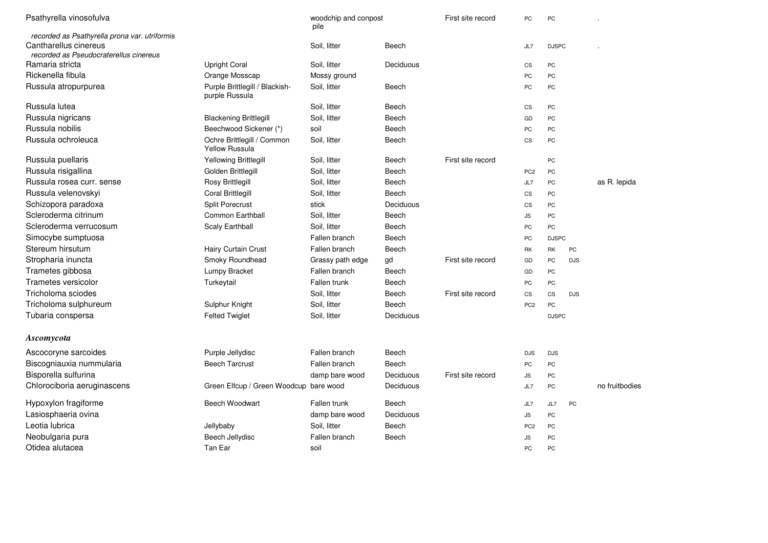| Psathyrella vinosofulva                                                |                                                     | woodchip and conpost<br>pile |           | First site record | PC                     | PC           |            |                |
|------------------------------------------------------------------------|-----------------------------------------------------|------------------------------|-----------|-------------------|------------------------|--------------|------------|----------------|
| recorded as Psathyrella prona var. utriformis<br>Cantharellus cinereus |                                                     | Soil, litter                 | Beech     |                   | JL7                    | <b>DJSPC</b> |            |                |
| recorded as Pseudocraterellus cinereus                                 |                                                     |                              |           |                   |                        |              |            |                |
| Ramaria stricta                                                        | <b>Upright Coral</b>                                | Soil. litter                 | Deciduous |                   | $\mathbb{C}\mathbb{S}$ | PC           |            |                |
| Rickenella fibula                                                      | Orange Mosscap                                      | Mossy ground                 |           |                   | PC                     | PC           |            |                |
| Russula atropurpurea                                                   | Purple Brittlegill / Blackish-<br>purple Russula    | Soil, litter                 | Beech     |                   | PC                     | PC           |            |                |
| Russula lutea                                                          |                                                     | Soil. litter                 | Beech     |                   | CS                     | PC           |            |                |
| Russula nigricans                                                      | <b>Blackening Brittlegill</b>                       | Soil, litter                 | Beech     |                   | GD                     | PC           |            |                |
| Russula nobilis                                                        | Beechwood Sickener (*)                              | soil                         | Beech     |                   | PC                     | PC           |            |                |
| Russula ochroleuca                                                     | Ochre Brittlegill / Common<br><b>Yellow Russula</b> | Soil, litter                 | Beech     |                   | CS                     | PC           |            |                |
| Russula puellaris                                                      | Yellowing Brittlegill                               | Soil, litter                 | Beech     | First site record |                        | PC           |            |                |
| Russula risigallina                                                    | Golden Brittlegill                                  | Soil. litter                 | Beech     |                   | PC <sub>2</sub>        | PC           |            |                |
| Russula rosea curr. sense                                              | Rosy Brittlegill                                    | Soil, litter                 | Beech     |                   | JL7                    | ${\sf PC}$   |            | as R. lepida   |
| Russula velenovskyi                                                    | <b>Coral Brittlegill</b>                            | Soil, litter                 | Beech     |                   | CS                     | PC           |            |                |
| Schizopora paradoxa                                                    | <b>Split Porecrust</b>                              | stick                        | Deciduous |                   | CS                     | PC           |            |                |
| Scleroderma citrinum                                                   | <b>Common Earthball</b>                             | Soil, litter                 | Beech     |                   | JS                     | PC           |            |                |
| Scleroderma verrucosum                                                 | Scaly Earthball                                     | Soil, litter                 | Beech     |                   | PC                     | PC           |            |                |
| Simocybe sumptuosa                                                     |                                                     | Fallen branch                | Beech     |                   | PC                     | <b>DJSPC</b> |            |                |
| Stereum hirsutum                                                       | Hairy Curtain Crust                                 | Fallen branch                | Beech     |                   | RK                     | RK           | PC         |                |
| Stropharia inuncta                                                     | Smoky Roundhead                                     | Grassy path edge             | gd        | First site record | GD                     | PC           | <b>DJS</b> |                |
| Trametes gibbosa                                                       | Lumpy Bracket                                       | Fallen branch                | Beech     |                   | GD                     | PC           |            |                |
| Trametes versicolor                                                    | Turkeytail                                          | Fallen trunk                 | Beech     |                   | PC                     | PC           |            |                |
| Tricholoma sciodes                                                     |                                                     | Soil, litter                 | Beech     | First site record | <b>CS</b>              | <b>CS</b>    | <b>DJS</b> |                |
| Tricholoma sulphureum                                                  | Sulphur Knight                                      | Soil, litter                 | Beech     |                   | PC <sub>2</sub>        | PC           |            |                |
| Tubaria conspersa                                                      | <b>Felted Twiglet</b>                               | Soil, litter                 | Deciduous |                   |                        | <b>DJSPC</b> |            |                |
| Ascomycota                                                             |                                                     |                              |           |                   |                        |              |            |                |
| Ascocoryne sarcoides                                                   | Purple Jellydisc                                    | Fallen branch                | Beech     |                   | <b>DJS</b>             | <b>DJS</b>   |            |                |
| Biscogniauxia nummularia                                               | <b>Beech Tarcrust</b>                               | Fallen branch                | Beech     |                   | PC                     | PC           |            |                |
| Bisporella sulfurina                                                   |                                                     | damp bare wood               | Deciduous | First site record | <b>JS</b>              | PC           |            |                |
| Chlorociboria aeruginascens                                            | Green Elfcup / Green Woodcup bare wood              |                              | Deciduous |                   | JL7                    | PC           |            | no fruitbodies |
| Hypoxylon fragiforme                                                   | <b>Beech Woodwart</b>                               | Fallen trunk                 | Beech     |                   | JL7                    | JL7          | PC         |                |
| Lasiosphaeria ovina                                                    |                                                     | damp bare wood               | Deciduous |                   | ${\sf JS}$             | PC           |            |                |
| Leotia lubrica                                                         | Jellybaby                                           | Soil, litter                 | Beech     |                   | PC <sub>2</sub>        | PC           |            |                |
| Neobulgaria pura                                                       | Beech Jellydisc                                     | Fallen branch                | Beech     |                   | JS                     | PC           |            |                |
| Otidea alutacea                                                        | Tan Ear                                             | soil                         |           |                   | PC                     | PC           |            |                |